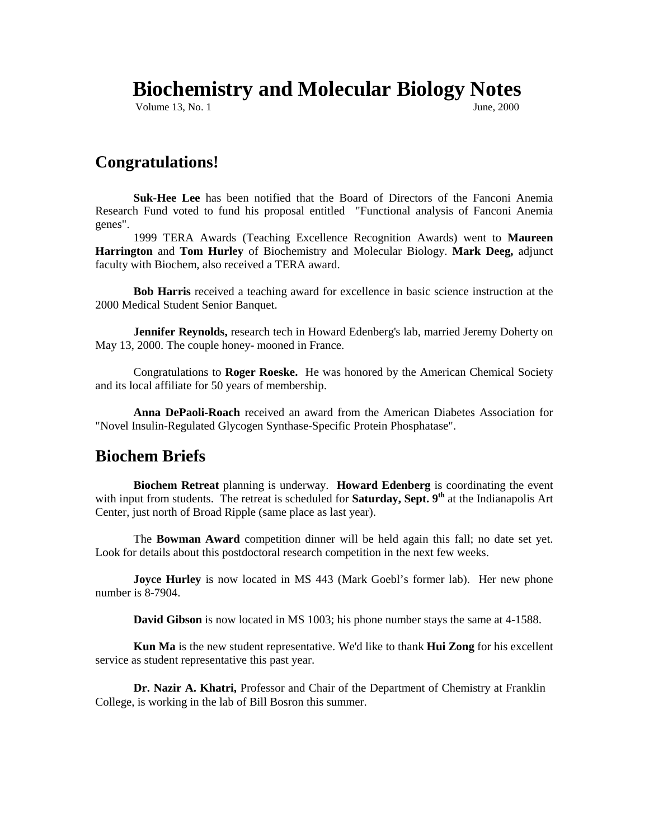# **Biochemistry and Molecular Biology Notes**

**Volume 13, No. 1** June, 2000

#### **Congratulations!**

**Suk-Hee Lee** has been notified that the Board of Directors of the Fanconi Anemia Research Fund voted to fund his proposal entitled "Functional analysis of Fanconi Anemia genes".

1999 TERA Awards (Teaching Excellence Recognition Awards) went to **Maureen Harrington** and **Tom Hurley** of Biochemistry and Molecular Biology. **Mark Deeg,** adjunct faculty with Biochem, also received a TERA award.

**Bob Harris** received a teaching award for excellence in basic science instruction at the 2000 Medical Student Senior Banquet.

Jennifer Reynolds, research tech in Howard Edenberg's lab, married Jeremy Doherty on May 13, 2000. The couple honey- mooned in France.

Congratulations to **Roger Roeske.** He was honored by the American Chemical Society and its local affiliate for 50 years of membership.

**Anna DePaoli-Roach** received an award from the American Diabetes Association for "Novel Insulin-Regulated Glycogen Synthase-Specific Protein Phosphatase".

#### **Biochem Briefs**

**Biochem Retreat** planning is underway. **Howard Edenberg** is coordinating the event with input from students. The retreat is scheduled for **Saturday**, Sept. 9<sup>th</sup> at the Indianapolis Art Center, just north of Broad Ripple (same place as last year).

 The **Bowman Award** competition dinner will be held again this fall; no date set yet. Look for details about this postdoctoral research competition in the next few weeks.

**Joyce Hurley** is now located in MS 443 (Mark Goebl's former lab). Her new phone number is 8-7904.

**David Gibson** is now located in MS 1003; his phone number stays the same at 4-1588.

**Kun Ma** is the new student representative. We'd like to thank **Hui Zong** for his excellent service as student representative this past year.

**Dr. Nazir A. Khatri,** Professor and Chair of the Department of Chemistry at Franklin College, is working in the lab of Bill Bosron this summer.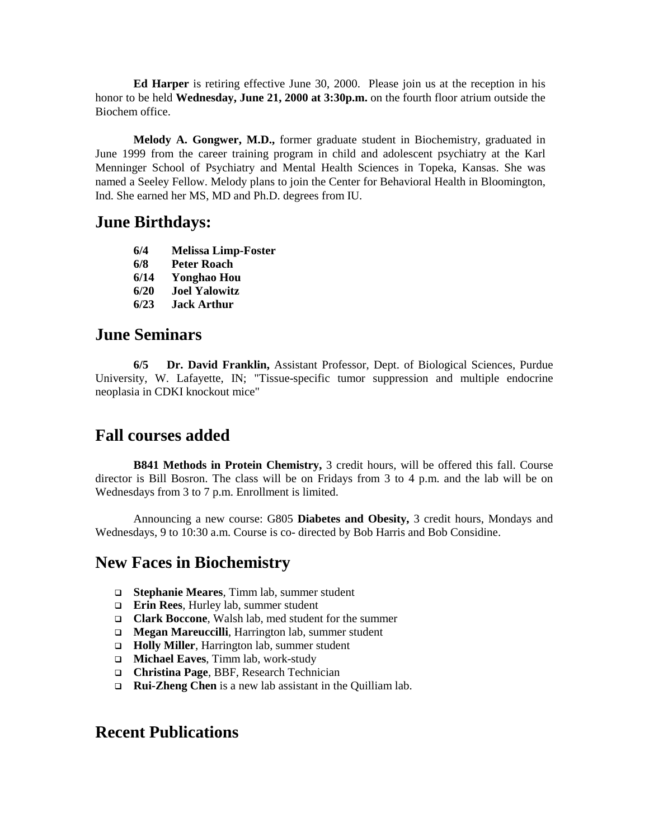**Ed Harper** is retiring effective June 30, 2000. Please join us at the reception in his honor to be held **Wednesday, June 21, 2000 at 3:30p.m.** on the fourth floor atrium outside the Biochem office.

**Melody A. Gongwer, M.D.,** former graduate student in Biochemistry, graduated in June 1999 from the career training program in child and adolescent psychiatry at the Karl Menninger School of Psychiatry and Mental Health Sciences in Topeka, Kansas. She was named a Seeley Fellow. Melody plans to join the Center for Behavioral Health in Bloomington, Ind. She earned her MS, MD and Ph.D. degrees from IU.

#### **June Birthdays:**

- **6/4 Melissa Limp-Foster**
- **6/8 Peter Roach**
- **6/14 Yonghao Hou**
- **6/20 Joel Yalowitz**
- **6/23 Jack Arthur**

#### **June Seminars**

**6/5 Dr. David Franklin,** Assistant Professor, Dept. of Biological Sciences, Purdue University, W. Lafayette, IN; "Tissue-specific tumor suppression and multiple endocrine neoplasia in CDKI knockout mice"

# **Fall courses added**

**B841 Methods in Protein Chemistry,** 3 credit hours, will be offered this fall. Course director is Bill Bosron. The class will be on Fridays from 3 to 4 p.m. and the lab will be on Wednesdays from 3 to 7 p.m. Enrollment is limited.

Announcing a new course: G805 **Diabetes and Obesity,** 3 credit hours, Mondays and Wednesdays, 9 to 10:30 a.m. Course is co- directed by Bob Harris and Bob Considine.

## **New Faces in Biochemistry**

- ! **Stephanie Meares**, Timm lab, summer student
- **Erin Rees**, Hurley lab, summer student
- ! **Clark Boccone**, Walsh lab, med student for the summer
- □ **Megan Mareuccilli**, Harrington lab, summer student
- □ **Holly Miller**, Harrington lab, summer student
- ! **Michael Eaves**, Timm lab, work-study
- ! **Christina Page**, BBF, Research Technician
- □ **Rui-Zheng Chen** is a new lab assistant in the Quilliam lab.

## **Recent Publications**